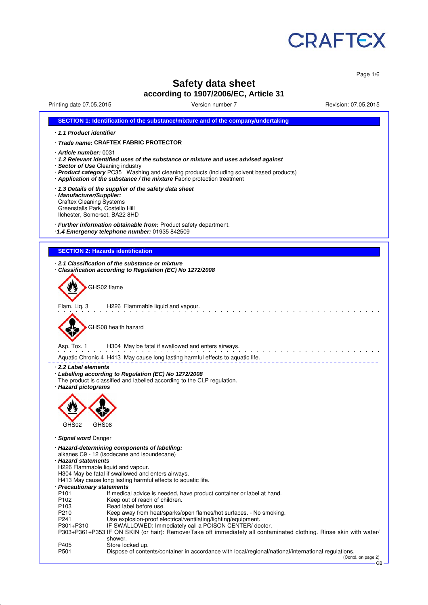

Page 1/6

# **Safety data sheet according to 1907/2006/EC, Article 31**

Printing date 07.05.2015 Version number 7 Revision: 07.05.2015

| SECTION 1: Identification of the substance/mixture and of the company/undertaking                                                                                                                                                                                                                                      |
|------------------------------------------------------------------------------------------------------------------------------------------------------------------------------------------------------------------------------------------------------------------------------------------------------------------------|
| 1.1 Product identifier                                                                                                                                                                                                                                                                                                 |
| · Trade name: CRAFTEX FABRIC PROTECTOR                                                                                                                                                                                                                                                                                 |
| Article number: 0031<br>· 1.2 Relevant identified uses of the substance or mixture and uses advised against<br>· Sector of Use Cleaning industry<br>· Product category PC35 Washing and cleaning products (including solvent based products)<br>Application of the substance / the mixture Fabric protection treatment |
| 1.3 Details of the supplier of the safety data sheet<br>· Manufacturer/Supplier:<br><b>Craftex Cleaning Systems</b><br>Greenstalls Park, Costello Hill<br>Ilchester, Somerset, BA22 8HD                                                                                                                                |
| · Further information obtainable from: Product safety department.<br>1.4 Emergency telephone number: 01935 842509                                                                                                                                                                                                      |
| <b>SECTION 2: Hazards identification</b>                                                                                                                                                                                                                                                                               |
|                                                                                                                                                                                                                                                                                                                        |
| 2.1 Classification of the substance or mixture<br>Classification according to Regulation (EC) No 1272/2008<br>GHS02 flame                                                                                                                                                                                              |
|                                                                                                                                                                                                                                                                                                                        |
| H226 Flammable liquid and vapour.<br>Flam. Lig. 3                                                                                                                                                                                                                                                                      |
| GHS08 health hazard                                                                                                                                                                                                                                                                                                    |
| Asp. Tox. 1<br>H304 May be fatal if swallowed and enters airways.                                                                                                                                                                                                                                                      |
| Aquatic Chronic 4 H413 May cause long lasting harmful effects to aquatic life.                                                                                                                                                                                                                                         |
| ⋅ 2.2 Label elements<br>Labelling according to Regulation (EC) No 1272/2008<br>The product is classified and labelled according to the CLP regulation.<br>· Hazard pictograms                                                                                                                                          |
| GHS08                                                                                                                                                                                                                                                                                                                  |
| GHS02                                                                                                                                                                                                                                                                                                                  |
| · Signal word Danger<br>· Hazard-determining components of labelling:                                                                                                                                                                                                                                                  |
| alkanes C9 - 12 (isodecane and isoundecane)<br>· Hazard statements                                                                                                                                                                                                                                                     |
| H226 Flammable liquid and vapour.                                                                                                                                                                                                                                                                                      |
| H304 May be fatal if swallowed and enters airways.<br>H413 May cause long lasting harmful effects to aquatic life.                                                                                                                                                                                                     |
| · Precautionary statements                                                                                                                                                                                                                                                                                             |
| P <sub>101</sub><br>If medical advice is needed, have product container or label at hand.<br>P <sub>102</sub><br>Keep out of reach of children.                                                                                                                                                                        |
| Read label before use.<br>P <sub>103</sub>                                                                                                                                                                                                                                                                             |
| P210<br>Keep away from heat/sparks/open flames/hot surfaces. - No smoking.                                                                                                                                                                                                                                             |
| P241<br>Use explosion-proof electrical/ventilating/lighting/equipment.<br>P301+P310<br>IF SWALLOWED: Immediately call a POISON CENTER/ doctor.                                                                                                                                                                         |
| P303+P361+P353 IF ON SKIN (or hair): Remove/Take off immediately all contaminated clothing. Rinse skin with water/<br>shower.                                                                                                                                                                                          |
| P405<br>Store locked up.<br>P501<br>Dispose of contents/container in accordance with local/regional/national/international regulations.<br>(Contd. on page 2)                                                                                                                                                          |

GB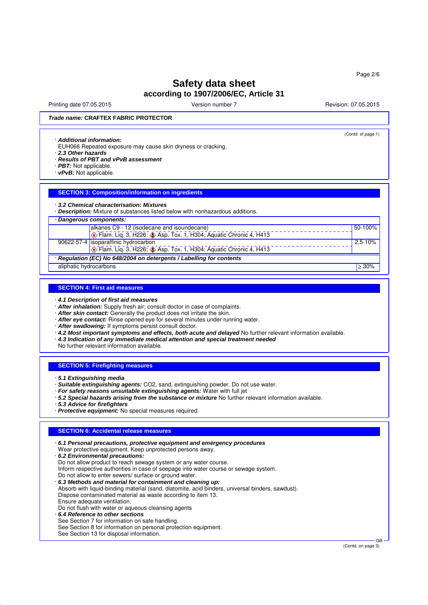Printing date 07.05.2015 Version number 7 Revision: 07.05.2015 Revision: 07.05.2015

(Contd. of page 1)

## *Trade name:* **CRAFTEX FABRIC PROTECTOR**

#### · *Additional information:*

- EUH066 Repeated exposure may cause skin dryness or cracking.
- · *2.3 Other hazards*
- · *Results of PBT and vPvB assessment*
- · *PBT:* Not applicable.
- · *vPvB:* Not applicable.

### **SECTION 3: Composition/information on ingredients**

#### · *3.2 Chemical characterisation: Mixtures*

· *Description:* Mixture of substances listed below with nonhazardous additions. · *Dangerous components:*

| alkanes C9 - 12 (isodecane and isoundecane)                          | 50-100%     |
|----------------------------------------------------------------------|-------------|
| Tam. Liq. 3, H226; Asp. Tox. 1, H304; Aquatic Chronic 4, H413        |             |
| 90622-57-4 isoparaffinic hydrocarbon                                 | $2.5 - 10%$ |
| Flam. Liq. 3, H226; Asp. Tox. 1, H304; Aquatic Chronic 4, H413       |             |
| · Regulation (EC) No 648/2004 on detergents / Labelling for contents |             |
| aliphatic hydrocarbons                                               | $>30\%$     |

#### **SECTION 4: First aid measures**

- · *4.1 Description of first aid measures*
- · *After inhalation:* Supply fresh air; consult doctor in case of complaints.
- · *After skin contact:* Generally the product does not irritate the skin.
- · *After eye contact:* Rinse opened eye for several minutes under running water.
- · *After swallowing:* If symptoms persist consult doctor.
- · *4.2 Most important symptoms and effects, both acute and delayed* No further relevant information available.
- · *4.3 Indication of any immediate medical attention and special treatment needed*
- No further relevant information available.

#### **SECTION 5: Firefighting measures**

- · *5.1 Extinguishing media*
- · *Suitable extinguishing agents:* CO2, sand, extinguishing powder. Do not use water.
- · *For safety reasons unsuitable extinguishing agents:* Water with full jet
- · *5.2 Special hazards arising from the substance or mixture* No further relevant information available.
- · *5.3 Advice for firefighters*
- · *Protective equipment:* No special measures required.

### **SECTION 6: Accidental release measures**

· *6.1 Personal precautions, protective equipment and emergency procedures* Wear protective equipment. Keep unprotected persons away. · *6.2 Environmental precautions:* Do not allow product to reach sewage system or any water course. Inform respective authorities in case of seepage into water course or sewage system. Do not allow to enter sewers/ surface or ground water. · *6.3 Methods and material for containment and cleaning up:* Absorb with liquid-binding material (sand, diatomite, acid binders, universal binders, sawdust). Dispose contaminated material as waste according to item 13. Ensure adequate ventilation. Do not flush with water or aqueous cleansing agents · *6.4 Reference to other sections* See Section 7 for information on safe handling.

See Section 8 for information on personal protection equipment.

See Section 13 for disposal information.

(Contd. on page 3)

GB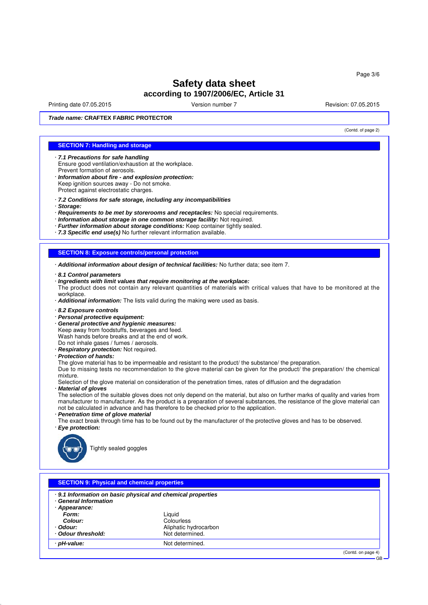Printing date 07.05.2015 Version number 7 Revision: 07.05.2015 Revision: 07.05.2015

(Contd. of page 2)

GB

*Trade name:* **CRAFTEX FABRIC PROTECTOR**

### **SECTION 7: Handling and storage**

- · *7.1 Precautions for safe handling* Ensure good ventilation/exhaustion at the workplace. Prevent formation of aerosols.
- · *Information about fire and explosion protection:* Keep ignition sources away - Do not smoke. Protect against electrostatic charges.
- · *7.2 Conditions for safe storage, including any incompatibilities*
- · *Storage:*
- · *Requirements to be met by storerooms and receptacles:* No special requirements.
- · *Information about storage in one common storage facility:* Not required.
- · *Further information about storage conditions:* Keep container tightly sealed.
- · *7.3 Specific end use(s)* No further relevant information available.

#### **SECTION 8: Exposure controls/personal protection**

- · *Additional information about design of technical facilities:* No further data; see item 7.
- · *8.1 Control parameters*
- · *Ingredients with limit values that require monitoring at the workplace:* The product does not contain any relevant quantities of materials with critical values that have to be monitored at the workplace.
- · *Additional information:* The lists valid during the making were used as basis.
- · *8.2 Exposure controls*
- · *Personal protective equipment:*
- · *General protective and hygienic measures:*
- Keep away from foodstuffs, beverages and feed.
- Wash hands before breaks and at the end of work.
- Do not inhale gases / fumes / aerosols.
- · *Respiratory protection:* Not required.
- · *Protection of hands:*
- The glove material has to be impermeable and resistant to the product/ the substance/ the preparation.

Due to missing tests no recommendation to the glove material can be given for the product/ the preparation/ the chemical mixture.

Selection of the glove material on consideration of the penetration times, rates of diffusion and the degradation · *Material of gloves*

The selection of the suitable gloves does not only depend on the material, but also on further marks of quality and varies from manufacturer to manufacturer. As the product is a preparation of several substances, the resistance of the glove material can not be calculated in advance and has therefore to be checked prior to the application.

- · *Penetration time of glove material*
- The exact break through time has to be found out by the manufacturer of the protective gloves and has to be observed. · *Eye protection:*



Tightly sealed goggles

| . 9.1 Information on basic physical and chemical properties<br><b>General Information</b> |                       |  |
|-------------------------------------------------------------------------------------------|-----------------------|--|
|                                                                                           |                       |  |
| Appearance:                                                                               |                       |  |
| Form:                                                                                     | Liquid                |  |
| Colour:                                                                                   | Colourless            |  |
| · Odour:                                                                                  | Aliphatic hydrocarbon |  |
| Odour threshold:                                                                          | Not determined.       |  |
| bH-value:                                                                                 | Not determined.       |  |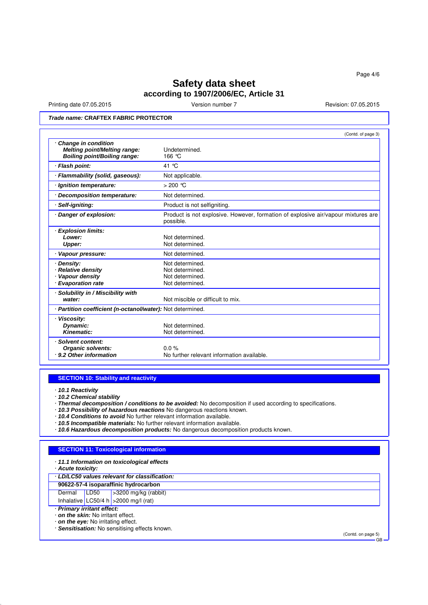Printing date 07.05.2015 Version number 7 Revision: 07.05.2015

## *Trade name:* **CRAFTEX FABRIC PROTECTOR**

|                                                                                                   | (Contd. of page 3)                                                                             |
|---------------------------------------------------------------------------------------------------|------------------------------------------------------------------------------------------------|
| <b>Change in condition</b><br><b>Melting point/Melting range:</b><br>Boiling point/Boiling range: | Undetermined.<br>166 °C                                                                        |
| <b>Flash point:</b>                                                                               | 41 °C                                                                                          |
| Flammability (solid, gaseous):                                                                    | Not applicable.                                                                                |
| · Ignition temperature:                                                                           | $>200$ °C                                                                                      |
| · Decomposition temperature:                                                                      | Not determined.                                                                                |
| Self-igniting:                                                                                    | Product is not selfigniting.                                                                   |
| Danger of explosion:                                                                              | Product is not explosive. However, formation of explosive air/vapour mixtures are<br>possible. |
| <b>Explosion limits:</b><br>Lower:<br><b>Upper:</b>                                               | Not determined.<br>Not determined.                                                             |
| · Vapour pressure:                                                                                | Not determined.                                                                                |
| Density:<br><b>Relative density</b><br>Vapour density<br><b>Evaporation rate</b>                  | Not determined.<br>Not determined.<br>Not determined.<br>Not determined.                       |
| Solubility in / Miscibility with<br>water:                                                        | Not miscible or difficult to mix.                                                              |
| · Partition coefficient (n-octanol/water): Not determined.                                        |                                                                                                |
| <b>Viscosity:</b><br>Dynamic:<br>Kinematic:                                                       | Not determined.<br>Not determined.                                                             |
| Solvent content:<br><b>Organic solvents:</b><br>· 9.2 Other information                           | $0.0\%$<br>No further relevant information available.                                          |

### **SECTION 10: Stability and reactivity**

· *10.1 Reactivity*

· *10.2 Chemical stability*

- · *Thermal decomposition / conditions to be avoided:* No decomposition if used according to specifications.
- · *10.3 Possibility of hazardous reactions* No dangerous reactions known.
- · *10.4 Conditions to avoid* No further relevant information available.
- · *10.5 Incompatible materials:* No further relevant information available.
- · *10.6 Hazardous decomposition products:* No dangerous decomposition products known.

#### **SECTION 11: Toxicological information**

· *11.1 Information on toxicological effects*

· *Acute toxicity:*

· *LD/LC50 values relevant for classification:*

**90622-57-4 isoparaffinic hydrocarbon**<br>Dermal LD50 > 3200 mg/kg (rabb  $\sqrt{ }$  >3200 mg/kg (rabbit)

Inhalative LC50/4 h  $>$ 2000 mg/l (rat)

· *Primary irritant effect:*

· *on the skin:* No irritant effect.

· *on the eye:* No irritating effect.

· *Sensitisation:* No sensitising effects known.

(Contd. on page 5) GB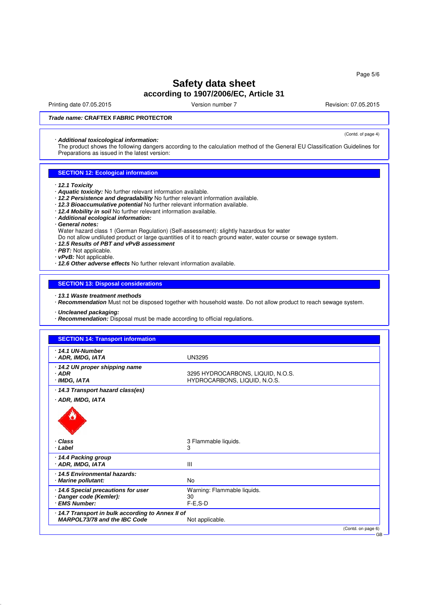Printing date 07.05.2015 Version number 7 Revision: 07.05.2015 Revision: 07.05.2015

(Contd. of page 4)

### *Trade name:* **CRAFTEX FABRIC PROTECTOR**

#### · *Additional toxicological information:*

The product shows the following dangers according to the calculation method of the General EU Classification Guidelines for Preparations as issued in the latest version:

### **SECTION 12: Ecological information**

- · *12.1 Toxicity*
- · *Aquatic toxicity:* No further relevant information available.
- · *12.2 Persistence and degradability* No further relevant information available.
- · *12.3 Bioaccumulative potential* No further relevant information available.
- · *12.4 Mobility in soil* No further relevant information available.
- · *Additional ecological information:*
- · *General notes:*
- Water hazard class 1 (German Regulation) (Self-assessment): slightly hazardous for water
- Do not allow undiluted product or large quantities of it to reach ground water, water course or sewage system.
- · *12.5 Results of PBT and vPvB assessment*
- · *PBT:* Not applicable.
- · *vPvB:* Not applicable.
- · *12.6 Other adverse effects* No further relevant information available.

#### **SECTION 13: Disposal considerations**

- · *13.1 Waste treatment methods*
- · *Recommendation* Must not be disposed together with household waste. Do not allow product to reach sewage system.
- · *Uncleaned packaging:*
- · *Recommendation:* Disposal must be made according to official regulations.

### **SECTION 14: Transport information**

| ⋅ 14.1 UN-Number<br>· ADR, IMDG, IATA              | <b>UN3295</b>                                                     |  |
|----------------------------------------------------|-------------------------------------------------------------------|--|
| · 14.2 UN proper shipping name                     |                                                                   |  |
| $·$ ADR<br>· IMDG, IATA                            | 3295 HYDROCARBONS, LIQUID, N.O.S.<br>HYDROCARBONS, LIQUID, N.O.S. |  |
| 14.3 Transport hazard class(es)                    |                                                                   |  |
| · ADR, IMDG, IATA                                  |                                                                   |  |
|                                                    |                                                                   |  |
| Class<br>· Label                                   | 3 Flammable liquids.<br>3                                         |  |
| 14.4 Packing group<br>· ADR, IMDG, IATA            | Ш                                                                 |  |
| 14.5 Environmental hazards:<br>· Marine pollutant: | <b>No</b>                                                         |  |
| 14.6 Special precautions for user                  | Warning: Flammable liquids.                                       |  |
| · Danger code (Kemler):<br>· EMS Number:           | 30<br>$F-E$ , $S-D$                                               |  |
| 14.7 Transport in bulk according to Annex II of    |                                                                   |  |
| <b>MARPOL73/78 and the IBC Code</b>                | Not applicable.                                                   |  |
|                                                    | (Contd. on page 6)                                                |  |